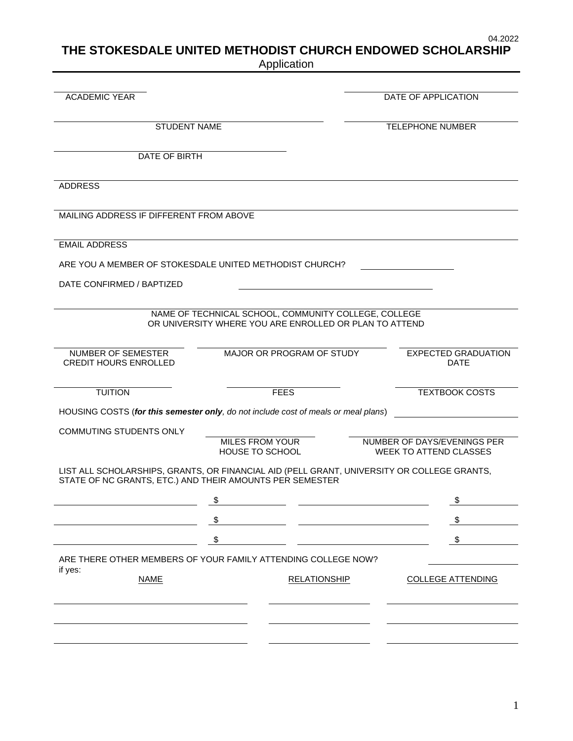04.2022

# **THE STOKESDALE UNITED METHODIST CHURCH ENDOWED SCHOLARSHIP**

Application

| <b>ACADEMIC YEAR</b>                                                                                                                                   |                                                        |                     | DATE OF APPLICATION           |
|--------------------------------------------------------------------------------------------------------------------------------------------------------|--------------------------------------------------------|---------------------|-------------------------------|
|                                                                                                                                                        |                                                        |                     |                               |
| <b>STUDENT NAME</b>                                                                                                                                    |                                                        |                     | <b>TELEPHONE NUMBER</b>       |
| DATE OF BIRTH                                                                                                                                          |                                                        |                     |                               |
|                                                                                                                                                        |                                                        |                     |                               |
| <b>ADDRESS</b>                                                                                                                                         |                                                        |                     |                               |
|                                                                                                                                                        |                                                        |                     |                               |
| MAILING ADDRESS IF DIFFERENT FROM ABOVE                                                                                                                |                                                        |                     |                               |
| <b>EMAIL ADDRESS</b>                                                                                                                                   |                                                        |                     |                               |
| ARE YOU A MEMBER OF STOKESDALE UNITED METHODIST CHURCH?                                                                                                |                                                        |                     |                               |
| DATE CONFIRMED / BAPTIZED                                                                                                                              |                                                        |                     |                               |
|                                                                                                                                                        |                                                        |                     |                               |
|                                                                                                                                                        | NAME OF TECHNICAL SCHOOL, COMMUNITY COLLEGE, COLLEGE   |                     |                               |
|                                                                                                                                                        | OR UNIVERSITY WHERE YOU ARE ENROLLED OR PLAN TO ATTEND |                     |                               |
| NUMBER OF SEMESTER                                                                                                                                     | MAJOR OR PROGRAM OF STUDY                              |                     | <b>EXPECTED GRADUATION</b>    |
| <b>CREDIT HOURS ENROLLED</b>                                                                                                                           |                                                        |                     | <b>DATE</b>                   |
| <b>TUITION</b>                                                                                                                                         | <b>FEES</b>                                            |                     | <b>TEXTBOOK COSTS</b>         |
|                                                                                                                                                        |                                                        |                     |                               |
| HOUSING COSTS (for this semester only, do not include cost of meals or meal plans)                                                                     |                                                        |                     |                               |
| <b>COMMUTING STUDENTS ONLY</b>                                                                                                                         | MILES FROM YOUR                                        |                     | NUMBER OF DAYS/EVENINGS PER   |
|                                                                                                                                                        | HOUSE TO SCHOOL                                        |                     | <b>WEEK TO ATTEND CLASSES</b> |
| LIST ALL SCHOLARSHIPS, GRANTS, OR FINANCIAL AID (PELL GRANT, UNIVERSITY OR COLLEGE GRANTS,<br>STATE OF NC GRANTS, ETC.) AND THEIR AMOUNTS PER SEMESTER |                                                        |                     |                               |
|                                                                                                                                                        |                                                        |                     |                               |
|                                                                                                                                                        | \$                                                     |                     | \$                            |
|                                                                                                                                                        | \$                                                     |                     | \$                            |
|                                                                                                                                                        | \$                                                     |                     | \$                            |
| ARE THERE OTHER MEMBERS OF YOUR FAMILY ATTENDING COLLEGE NOW?                                                                                          |                                                        |                     |                               |
| if yes:<br><b>NAME</b>                                                                                                                                 |                                                        | <b>RELATIONSHIP</b> | <b>COLLEGE ATTENDING</b>      |
|                                                                                                                                                        |                                                        |                     |                               |
|                                                                                                                                                        |                                                        |                     |                               |
|                                                                                                                                                        |                                                        |                     |                               |
|                                                                                                                                                        |                                                        |                     |                               |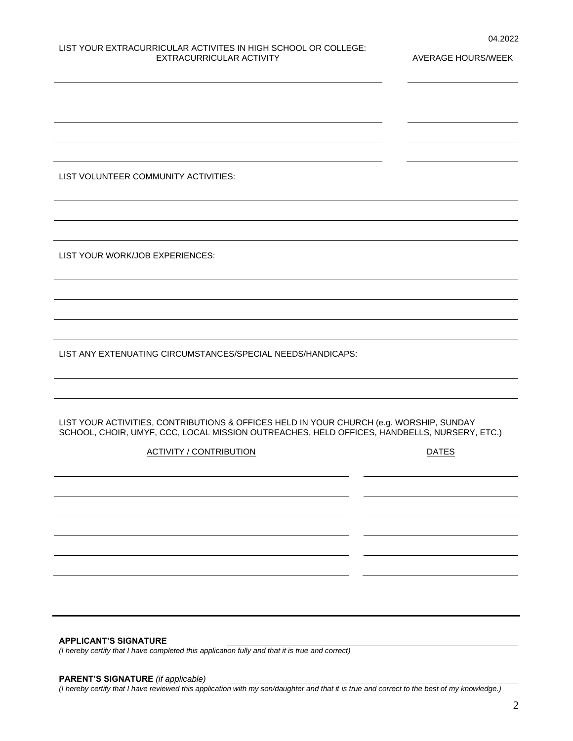# LIST YOUR EXTRACURRICULAR ACTIVITES IN HIGH SCHOOL OR COLLEGE: EXTRACURRICULAR ACTIVITY **AVERAGE HOURS/WEEK**

LIST VOLUNTEER COMMUNITY ACTIVITIES:

LIST YOUR WORK/JOB EXPERIENCES:

LIST ANY EXTENUATING CIRCUMSTANCES/SPECIAL NEEDS/HANDICAPS:

LIST YOUR ACTIVITIES, CONTRIBUTIONS & OFFICES HELD IN YOUR CHURCH (e.g. WORSHIP, SUNDAY SCHOOL, CHOIR, UMYF, CCC, LOCAL MISSION OUTREACHES, HELD OFFICES, HANDBELLS, NURSERY, ETC.)

### ACTIVITY / CONTRIBUTION DATES

## **APPLICANT'S SIGNATURE**

*(I hereby certify that I have completed this application fully and that it is true and correct)*

#### **PARENT'S SIGNATURE** *(if applicable)*

*(I hereby certify that I have reviewed this application with my son/daughter and that it is true and correct to the best of my knowledge.)*